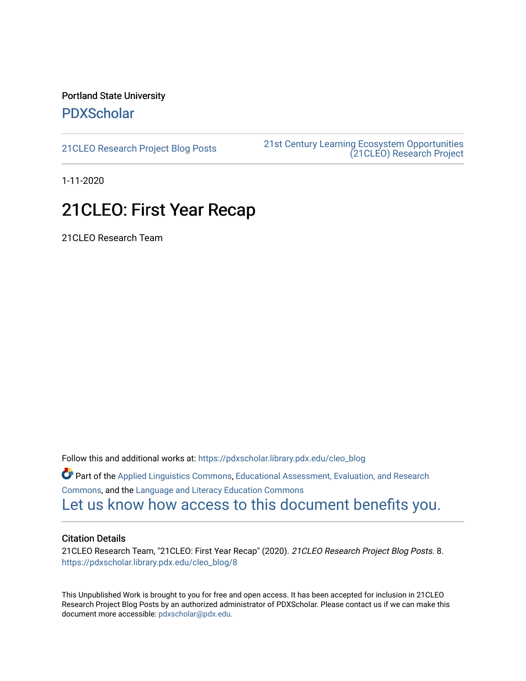## Portland State University [PDXScholar](https://pdxscholar.library.pdx.edu/)

[21CLEO Research Project Blog Posts](https://pdxscholar.library.pdx.edu/cleo_blog) [21st Century Learning Ecosystem Opportunities](https://pdxscholar.library.pdx.edu/cleo)  [\(21CLEO\) Research Project](https://pdxscholar.library.pdx.edu/cleo) 

1-11-2020

## 21CLEO: First Year Recap

21CLEO Research Team

Follow this and additional works at: [https://pdxscholar.library.pdx.edu/cleo\\_blog](https://pdxscholar.library.pdx.edu/cleo_blog?utm_source=pdxscholar.library.pdx.edu%2Fcleo_blog%2F8&utm_medium=PDF&utm_campaign=PDFCoverPages)  Part of the [Applied Linguistics Commons,](http://network.bepress.com/hgg/discipline/373?utm_source=pdxscholar.library.pdx.edu%2Fcleo_blog%2F8&utm_medium=PDF&utm_campaign=PDFCoverPages) [Educational Assessment, Evaluation, and Research](http://network.bepress.com/hgg/discipline/796?utm_source=pdxscholar.library.pdx.edu%2Fcleo_blog%2F8&utm_medium=PDF&utm_campaign=PDFCoverPages)  [Commons](http://network.bepress.com/hgg/discipline/796?utm_source=pdxscholar.library.pdx.edu%2Fcleo_blog%2F8&utm_medium=PDF&utm_campaign=PDFCoverPages), and the [Language and Literacy Education Commons](http://network.bepress.com/hgg/discipline/1380?utm_source=pdxscholar.library.pdx.edu%2Fcleo_blog%2F8&utm_medium=PDF&utm_campaign=PDFCoverPages)  [Let us know how access to this document benefits you.](http://library.pdx.edu/services/pdxscholar-services/pdxscholar-feedback/?ref=https://pdxscholar.library.pdx.edu/cleo_blog/8) 

## Citation Details

21CLEO Research Team, "21CLEO: First Year Recap" (2020). 21CLEO Research Project Blog Posts. 8. [https://pdxscholar.library.pdx.edu/cleo\\_blog/8](https://pdxscholar.library.pdx.edu/cleo_blog/8?utm_source=pdxscholar.library.pdx.edu%2Fcleo_blog%2F8&utm_medium=PDF&utm_campaign=PDFCoverPages) 

This Unpublished Work is brought to you for free and open access. It has been accepted for inclusion in 21CLEO Research Project Blog Posts by an authorized administrator of PDXScholar. Please contact us if we can make this document more accessible: [pdxscholar@pdx.edu.](mailto:pdxscholar@pdx.edu)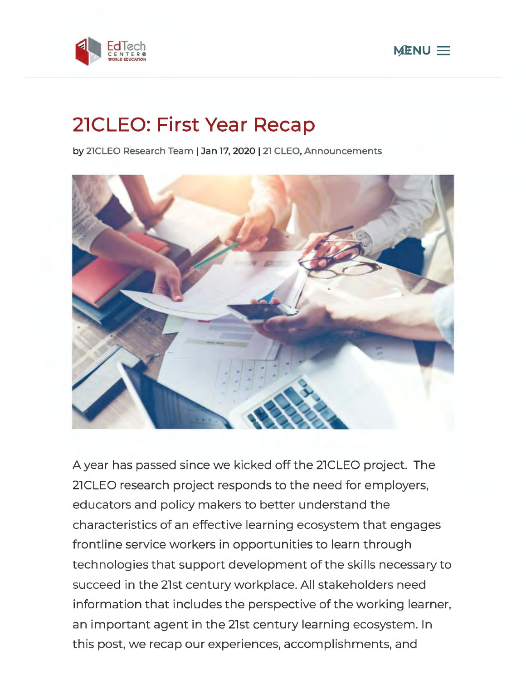



## **21CLEO: First Year Recap**

by 21CLEO Research Team | Jan 17, 2020 | 21 CLEO, Announcements



A year has passed since we kicked off the 21CLEO project. The 21CLEO research project responds to the need for employers, educators and policy makers to better understand the characteristics of an effective learning ecosystem that engages frontline service workers in opportunities to learn through technologies that support development of the skills necessary to succeed in the 21st century workplace. All stakeholders need information that includes the perspective of the working learner, an important agent in the 21st century learning ecosystem. In this post, we recap our experiences, accomplishments, and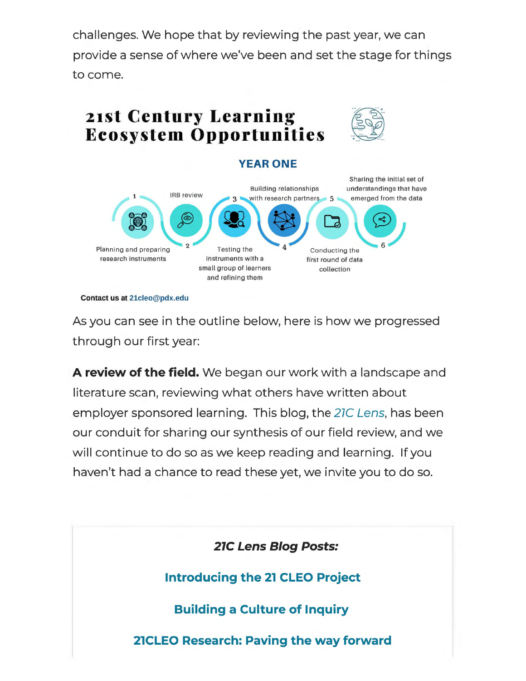challenges. We hope that by reviewing the past year, we can provide a sense of where we've been and set the stage for things to come.



**Contact us at 21cleo@pdx.edu** 

As you can see in the outline below, here is how we progressed through our first year:

**A review of the field.** We began our work with a landscape and literature scan, reviewing what others have written about employer sponsored learning. This blog, the 27C Lens, has been our conduit for sharing our synthesis of our field review, and we will continue to do so as we keep reading and learning. If you haven't had a chance to read these yet, we invite you to do so.

**21C Lens Blog Posts:** 

**Introducing the 21 CLEO Project** 

**Building a Culture of Inquiry** 

**21CLEO Research: Paving the way forward**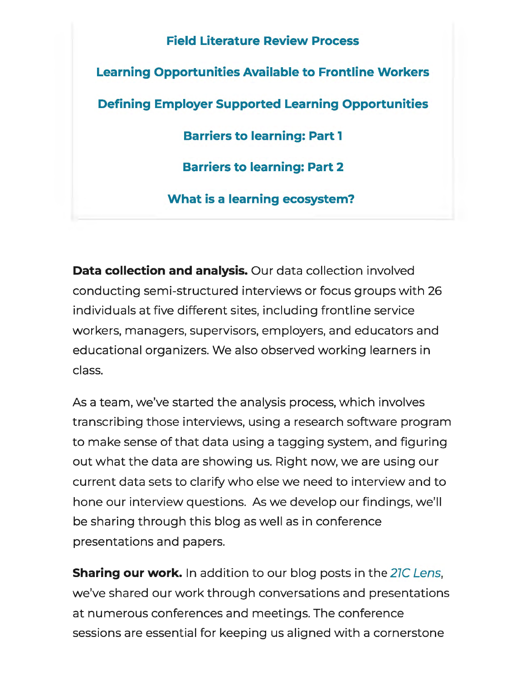**Field Literature Review Process Learning Opportunities Available to Frontline Workers Defining Employer Supported Learning Opportunities Barriers to learning: Part 1 Barriers to learning: Part 2 What is a learning ecosystem?** 

**Data collection and analysis.** Our data collection involved conducting semi-structured interviews or focus groups with 26 individuals at five different sites, including frontline service workers, managers, supervisors, employers, and educators and educational organizers. We also observed working learners in class.

As a team, we've started the analysis process, which involves transcribing those interviews, using a research software program to make sense of that data using a tagging system, and figuring out what the data are showing us. Right now, we are using our current data sets to clarify who else we need to interview and to hone our interview questions. As we develop our findings, we'll be sharing through this blog as well as in conference presentations and papers.

**Sharing our work.** In addition to our blog posts in the 27C Lens, we've shared our work through conversations and presentations at numerous conferences and meetings. The conference sessions are essential for keeping us aligned with a cornerstone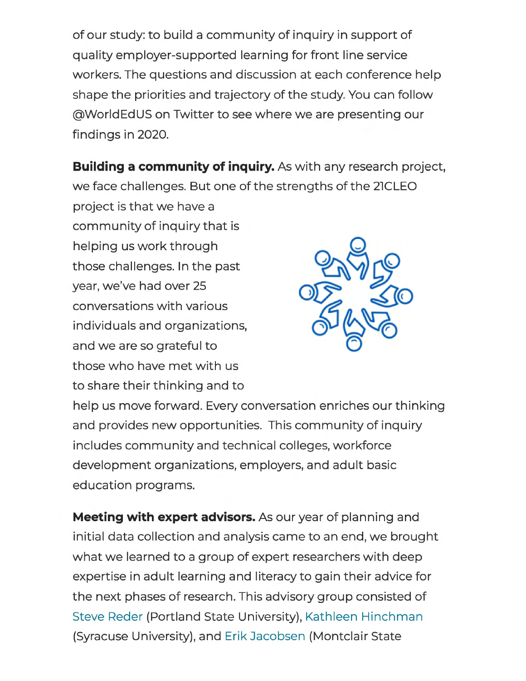of our study: to build a community of inquiry in support of quality employer-supported learning for front line service workers. The questions and discussion at each conference help shape the priorities and trajectory of the study. You can follow @WorldEdUS on Twitter to see where we are presenting our findings in 2020.

**Building a community of inquiry.** As with any research project, we face challenges. But one of the strengths of the 21CLEO

project is that we have a community of inquiry that is helping us work through those challenges. In the past year, we've had over 25 conversations with various individuals and organizations, and we are so grateful to those who have met with us to share their thinking and to



help us move forward. Every conversation enriches our thinking and provides new opportunities. This community of inquiry includes community and technical colleges, workforce development organizations, employers, and adult basic education programs.

**Meeting with expert advisors.** As our year of planning and initial data collection and analysis came to an end, we brought what we learned to a group of expert researchers with deep expertise in adult learning and literacy to gain their advice for the next phases of research. This advisory group consisted of Steve Reder (Portland State University), Kathleen Hinchman (Syracuse University), and Erik Jacobsen (Montclair State